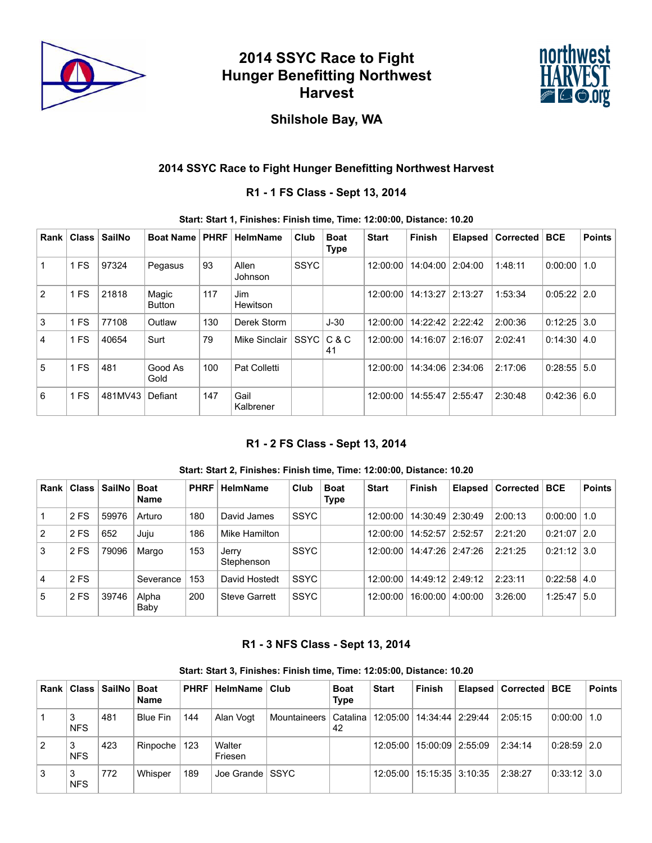

# **2014 SSYC Race to Fight Hunger Benefitting Northwest Harvest**



## **Shilshole Bay, WA**

## **2014 SSYC Race to Fight Hunger Benefitting Northwest Harvest**

## **R1 - 1 FS Class - Sept 13, 2014**

#### **Start: Start 1, Finishes: Finish time, Time: 12:00:00, Distance: 10.20**

| Rank           | <b>Class</b>    | <b>SailNo</b> | <b>Boat Name</b>       | <b>PHRF</b> | HelmName          | Club        | <b>Boat</b><br>Type | <b>Start</b> | Finish           | <b>Elapsed</b> | <b>Corrected</b> | <b>BCE</b>         | <b>Points</b> |
|----------------|-----------------|---------------|------------------------|-------------|-------------------|-------------|---------------------|--------------|------------------|----------------|------------------|--------------------|---------------|
|                | 1 FS            | 97324         | Pegasus                | 93          | Allen<br>Johnson  | <b>SSYC</b> |                     | 12:00:00     | 14:04:00         | 2:04:00        | 1:48:11          | 0:00:00            | 1.0           |
| $\mathcal{P}$  | 1 <sub>FS</sub> | 21818         | Magic<br><b>Button</b> | 117         | Jim<br>Hewitson   |             |                     | 12:00:00     | 14:13:27         | 2:13:27        | 1:53:34          | $0:05:22$   2.0    |               |
| 3              | 1 <sub>FS</sub> | 77108         | Outlaw                 | 130         | Derek Storm       |             | $J-30$              | 12:00:00     | 14:22:42 2:22:42 |                | 2:00:36          | $0:12:25$ 3.0      |               |
| 4              | 1 <sub>FS</sub> | 40654         | Surt                   | 79          | Mike Sinclair     | <b>SSYC</b> | C & C<br>41         | 12:00:00     | 14:16:07         | 2:16:07        | 2:02:41          | $0:14:30 \mid 4.0$ |               |
| $\overline{5}$ | 1 FS            | 481           | Good As<br>Gold        | 100         | Pat Colletti      |             |                     | 12:00:00     | 14:34:06         | 2:34:06        | 2:17:06          | 0:28:55            | 5.0           |
| 6              | 1 FS            | 481MV43       | Defiant                | 147         | Gail<br>Kalbrener |             |                     | 12:00:00     | 14:55:47         | 12:55:47       | 2:30:48          | 0:42:36   6.0      |               |

## **R1 - 2 FS Class - Sept 13, 2014**

#### **Start: Start 2, Finishes: Finish time, Time: 12:00:00, Distance: 10.20**

| Rank l         | ⊦Class ∣∶ | <b>SailNo</b> | <b>Boat</b><br>Name | <b>PHRF</b> | <b>HelmName</b>      | Club        | <b>Boat</b><br><b>Type</b> | <b>Start</b> | <b>Finish</b>      | <b>Elapsed</b> | ∣ Corrected ∣ | BCE                | <b>Points</b> |
|----------------|-----------|---------------|---------------------|-------------|----------------------|-------------|----------------------------|--------------|--------------------|----------------|---------------|--------------------|---------------|
|                | 2 FS      | 59976         | Arturo              | 180         | David James          | <b>SSYC</b> |                            | 12:00:00     | 14:30:49   2:30:49 |                | 2:00:13       | $0.00:00$   1.0    |               |
| $\overline{2}$ | 2 FS      | 652           | Juju                | 186         | Mike Hamilton        |             |                            | 12:00:00     | 14:52:57   2:52:57 |                | 2:21:20       | $0:21:07$   2.0    |               |
| 3              | 2 FS      | 79096         | Margo               | 153         | Jerry<br>Stephenson  | <b>SSYC</b> |                            | 12:00:00     | 14:47:26   2:47:26 |                | 2:21:25       | $0:21:12$ 3.0      |               |
| $\overline{4}$ | 2 FS      |               | Severance           | 153         | David Hostedt        | <b>SSYC</b> |                            | 12:00:00     | 14:49:12 2:49:12   |                | 2:23:11       | $0:22:58 \mid 4.0$ |               |
| 5              | 2 FS      | 39746         | Alpha<br>Baby       | 200         | <b>Steve Garrett</b> | <b>SSYC</b> |                            | 12:00:00     | 16:00:00           | 4:00:00        | 3:26:00       | $1:25:47 \mid 5.0$ |               |

## **R1 - 3 NFS Class - Sept 13, 2014**

#### **Start: Start 3, Finishes: Finish time, Time: 12:05:00, Distance: 10.20**

| Rank l |                 | Class   SailNo | <b>Boat</b><br><b>Name</b> | <b>PHRF</b> | HelmName          | Club                               | <b>Boat</b><br><b>Type</b> | <b>Start</b> | <b>Finish</b>      | Elapsed   Corrected   BCE |                 | <b>Points</b> |
|--------|-----------------|----------------|----------------------------|-------------|-------------------|------------------------------------|----------------------------|--------------|--------------------|---------------------------|-----------------|---------------|
|        | 3<br><b>NFS</b> | 481            | Blue Fin                   | 144         | Alan Vogt         | Mountaineers   Catalina   12:05:00 | 42                         |              | 14:34:44 2:29:44   | 2:05:15                   | 0:00:00         | $\vert$ 1.0   |
| 2      | 3<br><b>NFS</b> | 423            | Rinpoche                   | 123         | Walter<br>Friesen |                                    |                            | 12:05:00     | 15:00:09 2:55:09   | 2:34:14                   | $0.28:59$   2.0 |               |
| 3      | 3<br><b>NFS</b> | 772            | Whisper                    | 189         | Joe Grande   SSYC |                                    |                            | 12:05:00     | 15:15:35   3:10:35 | 2:38:27                   | $0.33:12$ 3.0   |               |